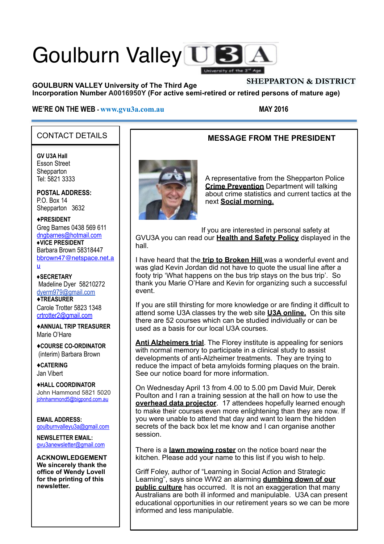# Goulburn Valley US University of the 3'

#### **GOULBURN VALLEY University of The Third Age Incorporation Number A0016950Y (For active semi-retired or retired persons of mature age) SHEPPARTON & DISTRICT**

#### **WE'RE ON THE WEB - [www.gvu3a.com.au](http://www.gvu3a.com.au/) MAY 2016**

#### CONTACT DETAILS

**GV U3A Hall** Esson Street **Shepparton** Tel: 5821 3333

**POSTAL ADDRESS:** P.O. Box 14 Shepparton 3632

#### ♦**PRESIDENT**

Greg Barnes 0438 569 611 [dngbarnes@hotmail.com](mailto:dngbarnes@hotmail.com) **♦VICE PRESIDENT** Barbara Brown 58318447 [bbrown47@netspace.net.a](mailto:bbrown47@netspace.net.au) u

**♦SECRETARY** Madeline Dyer 58210272 [dyerm979@gmail.com](mailto:dyerm979@gmail.com) ♦**TREASURER** Carole Trotter 5823 1348 crtrotter2@gmail.com

♦**ANNUAL TRIP TREASURER** Marie O'Hare

♦**COURSE CO-ORDINATOR** (interim) Barbara Brown

♦**CATERING** Jan Vibert

♦**HALL COORDINATOR** John Hammond 5821 5020 [johnhammond5@bigpond.com.au](mailto:johnhammond5@bigpond.com.au) 

**EMAIL ADDRESS:** [goulburnvalleyu3a@gmail.com](mailto:goulburnvalleyu3a@gmail.com)

**NEWSLETTER EMAIL:** [gvu3anewsletter@gmail.com](mailto:gvu3anewsletter@gmail.com)

**ACKNOWLEDGEMENT We sincerely thank the office of Wendy Lovell for the printing of this newsletter.**

#### **MESSAGE FROM THE PRESIDENT**



A representative from the Shepparton Police **Crime Prevention** Department will talking about crime statistics and current tactics at the next **Social morning.** 

If you are interested in personal safety at GVU3A you can read our **Health and Safety Policy** displayed in the hall.

I have heard that the **trip to Broken Hill** was a wonderful event and was glad Kevin Jordan did not have to quote the usual line after a footy trip 'What happens on the bus trip stays on the bus trip'. So thank you Marie O'Hare and Kevin for organizing such a successful event.

If you are still thirsting for more knowledge or are finding it difficult to attend some U3A classes try the web site **U3A online.** On this site there are 52 courses which can be studied individually or can be used as a basis for our local U3A courses.

**Anti Alzheimers trial**. The Florey institute is appealing for seniors with normal memory to participate in a clinical study to assist developments of anti-Alzheimer treatments. They are trying to reduce the impact of beta amyloids forming plaques on the brain. See our notice board for more information.

On Wednesday April 13 from 4.00 to 5.00 pm David Muir, Derek Poulton and I ran a training session at the hall on how to use the **overhead data projector**. 17 attendees hopefully learned enough to make their courses even more enlightening than they are now. If you were unable to attend that day and want to learn the hidden secrets of the back box let me know and I can organise another session.

There is a **lawn mowing roster** on the notice board near the kitchen. Please add your name to this list if you wish to help.

Griff Foley, author of "Learning in Social Action and Strategic Learning", says since WW2 an alarming **dumbing down of our public culture** has occurred. It is not an exaggeration that many Australians are both ill informed and manipulable. U3A can present educational opportunities in our retirement years so we can be more informed and less manipulable.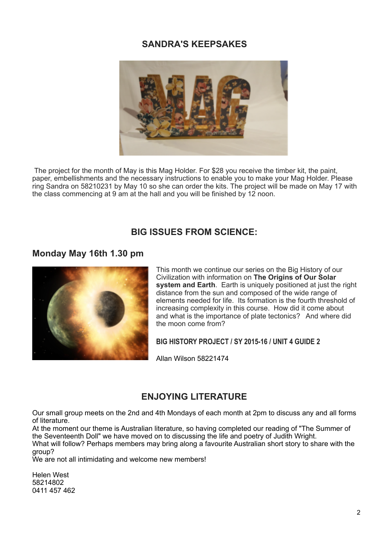#### **SANDRA'S KEEPSAKES**



The project for the month of May is this Mag Holder. For \$28 you receive the timber kit, the paint, paper, embellishments and the necessary instructions to enable you to make your Mag Holder. Please ring Sandra on 58210231 by May 10 so she can order the kits. The project will be made on May 17 with the class commencing at 9 am at the hall and you will be finished by 12 noon.

#### **BIG ISSUES FROM SCIENCE:**

#### **Monday May 16th 1.30 pm**



This month we continue our series on the Big History of our Civilization with information on **The Origins of Our Solar system and Earth**. Earth is uniquely positioned at just the right distance from the sun and composed of the wide range of elements needed for life. Its formation is the fourth threshold of increasing complexity in this course. How did it come about and what is the importance of plate tectonics? And where did the moon come from?

**BIG HISTORY PROJECT / SY 2015-16 / UNIT 4 GUIDE 2** 

Allan Wilson 58221474

#### **ENJOYING LITERATURE**

Our small group meets on the 2nd and 4th Mondays of each month at 2pm to discuss any and all forms of literature.

At the moment our theme is Australian literature, so having completed our reading of "The Summer of the Seventeenth Doll" we have moved on to discussing the life and poetry of Judith Wright.

What will follow? Perhaps members may bring along a favourite Australian short story to share with the group?

We are not all intimidating and welcome new members!

Helen West 58214802 0411 457 462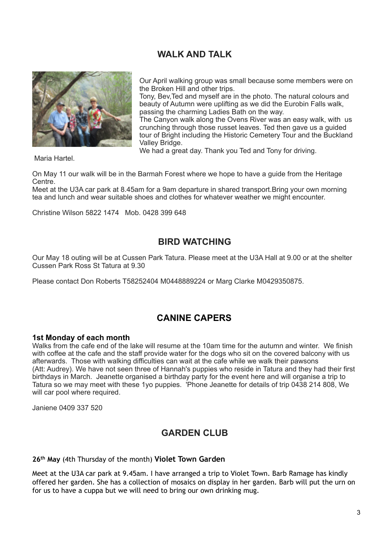#### **WALK AND TALK**



Our April walking group was small because some members were on the Broken Hill and other trips.

Tony, Bev,Ted and myself are in the photo. The natural colours and beauty of Autumn were uplifting as we did the Eurobin Falls walk, passing the charming Ladies Bath on the way.

The Canyon walk along the Ovens River was an easy walk, with us crunching through those russet leaves. Ted then gave us a guided tour of Bright including the Historic Cemetery Tour and the Buckland Valley Bridge.

We had a great day. Thank you Ted and Tony for driving.

Maria Hartel.

On May 11 our walk will be in the Barmah Forest where we hope to have a guide from the Heritage Centre.

Meet at the U3A car park at 8.45am for a 9am departure in shared transport.Bring your own morning tea and lunch and wear suitable shoes and clothes for whatever weather we might encounter.

Christine Wilson 5822 1474 Mob. 0428 399 648

#### **BIRD WATCHING**

Our May 18 outing will be at Cussen Park Tatura. Please meet at the U3A Hall at 9.00 or at the shelter Cussen Park Ross St Tatura at 9.30

Please contact Don Roberts T58252404 M0448889224 or Marg Clarke M0429350875.

#### **CANINE CAPERS**

#### **1st Monday of each month**

Walks from the cafe end of the lake will resume at the 10am time for the autumn and winter. We finish with coffee at the cafe and the staff provide water for the dogs who sit on the covered balcony with us afterwards. Those with walking difficulties can wait at the cafe while we walk their pawsons (Att: Audrey). We have not seen three of Hannah's puppies who reside in Tatura and they had their first birthdays in March. Jeanette organised a birthday party for the event here and will organise a trip to Tatura so we may meet with these 1yo puppies. 'Phone Jeanette for details of trip 0438 214 808, We will car pool where required.

Janiene 0409 337 520

#### **GARDEN CLUB**

**26th May** (4th Thursday of the month) **Violet Town Garden**

Meet at the U3A car park at 9.45am. I have arranged a trip to Violet Town. Barb Ramage has kindly offered her garden. She has a collection of mosaics on display in her garden. Barb will put the urn on for us to have a cuppa but we will need to bring our own drinking mug.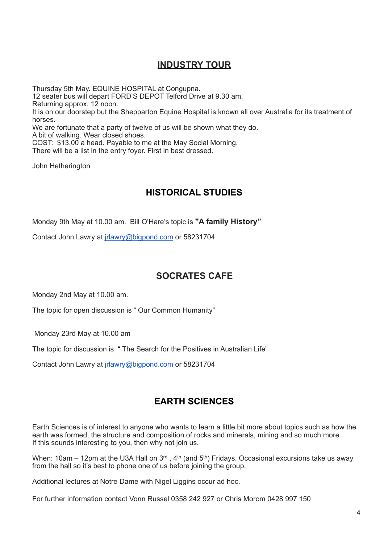### **INDUSTRY TOUR**

Thursday 5th May. EQUINE HOSPITAL at Congupna. 12 seater bus will depart FORD'S DEPOT Telford Drive at 9.30 am. Returning approx. 12 noon. It is on our doorstep but the Shepparton Equine Hospital is known all over Australia for its treatment of horses. We are fortunate that a party of twelve of us will be shown what they do. A bit of walking. Wear closed shoes. COST: \$13.00 a head. Payable to me at the May Social Morning. There will be a list in the entry foyer. First in best dressed. John Hetherington

#### **HISTORICAL STUDIES**

Monday 9th May at 10.00 am. Bill O'Hare's topic is **"A family History"**

Contact John Lawry at [jrlawry@bigpond.com](mailto:jrlawry@bigpond.com) or 58231704

#### **SOCRATES CAFE**

Monday 2nd May at 10.00 am.

The topic for open discussion is " Our Common Humanity"

Monday 23rd May at 10.00 am

The topic for discussion is " The Search for the Positives in Australian Life"

Contact John Lawry at [jrlawry@bigpond.com](mailto:jrlawry@bigpond.com) or 58231704

#### **EARTH SCIENCES**

Earth Sciences is of interest to anyone who wants to learn a little bit more about topics such as how the earth was formed, the structure and composition of rocks and minerals, mining and so much more. If this sounds interesting to you, then why not join us.

When: 10am – 12pm at the U3A Hall on  $3<sup>rd</sup>$ , 4<sup>th</sup> (and 5<sup>th</sup>) Fridays. Occasional excursions take us away from the hall so it's best to phone one of us before joining the group.

Additional lectures at Notre Dame with Nigel Liggins occur ad hoc.

For further information contact Vonn Russel 0358 242 927 or Chris Morom 0428 997 150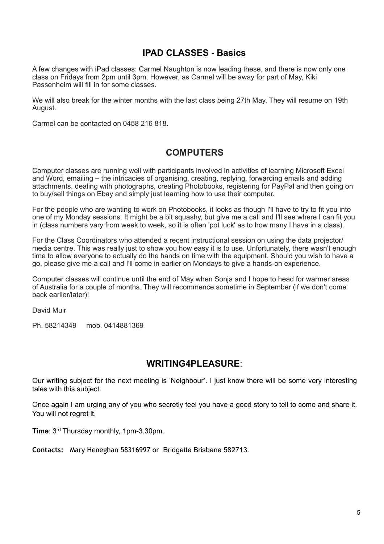#### **IPAD CLASSES - Basics**

A few changes with iPad classes: Carmel Naughton is now leading these, and there is now only one class on Fridays from 2pm until 3pm. However, as Carmel will be away for part of May, Kiki Passenheim will fill in for some classes.

We will also break for the winter months with the last class being 27th May. They will resume on 19th August.

Carmel can be contacted on 0458 216 818.

#### **COMPUTERS**

Computer classes are running well with participants involved in activities of learning Microsoft Excel and Word, emailing – the intricacies of organising, creating, replying, forwarding emails and adding attachments, dealing with photographs, creating Photobooks, registering for PayPal and then going on to buy/sell things on Ebay and simply just learning how to use their computer.

For the people who are wanting to work on Photobooks, it looks as though I'll have to try to fit you into one of my Monday sessions. It might be a bit squashy, but give me a call and I'll see where I can fit you in (class numbers vary from week to week, so it is often 'pot luck' as to how many I have in a class).

For the Class Coordinators who attended a recent instructional session on using the data projector/ media centre. This was really just to show you how easy it is to use. Unfortunately, there wasn't enough time to allow everyone to actually do the hands on time with the equipment. Should you wish to have a go, please give me a call and I'll come in earlier on Mondays to give a hands-on experience.

Computer classes will continue until the end of May when Sonja and I hope to head for warmer areas of Australia for a couple of months. They will recommence sometime in September (if we don't come back earlier/later)!

David Muir

Ph. 58214349 mob. 0414881369

#### **WRITING4PLEASURE**:

Our writing subject for the next meeting is 'Neighbour'. I just know there will be some very interesting tales with this subject.

Once again I am urging any of you who secretly feel you have a good story to tell to come and share it. You will not regret it.

**Time**: 3rd Thursday monthly, 1pm-3.30pm.

**Contacts:** Mary Heneghan 58316997 or Bridgette Brisbane 582713.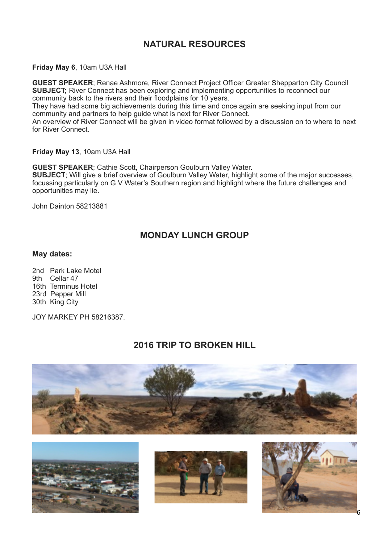#### **NATURAL RESOURCES**

#### **Friday May 6**, 10am U3A Hall

**GUEST SPEAKER**; Renae Ashmore, River Connect Project Officer Greater Shepparton City Council **SUBJECT**; River Connect has been exploring and implementing opportunities to reconnect our community back to the rivers and their floodplains for 10 years.

They have had some big achievements during this time and once again are seeking input from our community and partners to help guide what is next for River Connect.

An overview of River Connect will be given in video format followed by a discussion on to where to next for River Connect.

**Friday May 13**, 10am U3A Hall

**GUEST SPEAKER**; Cathie Scott, Chairperson Goulburn Valley Water. **SUBJECT**; Will give a brief overview of Goulburn Valley Water, highlight some of the major successes, focussing particularly on G V Water's Southern region and highlight where the future challenges and opportunities may lie.

John Dainton 58213881

#### **MONDAY LUNCH GROUP**

#### **May dates:**

2nd Park Lake Motel 9th Cellar 47 16th Terminus Hotel 23rd Pepper Mill 30th King City

JOY MARKEY PH 58216387.

#### **2016 TRIP TO BROKEN HILL**







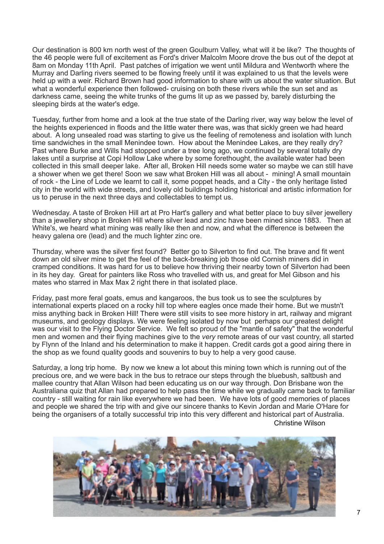Our destination is 800 km north west of the green Goulburn Valley, what will it be like? The thoughts of the 46 people were full of excitement as Ford's driver Malcolm Moore drove the bus out of the depot at 8am on Monday 11th April. Past patches of irrigation we went until Mildura and Wentworth where the Murray and Darling rivers seemed to be flowing freely until it was explained to us that the levels were held up with a weir. Richard Brown had good information to share with us about the water situation. But what a wonderful experience then followed- cruising on both these rivers while the sun set and as darkness came, seeing the white trunks of the gums lit up as we passed by, barely disturbing the sleeping birds at the water's edge.

Tuesday, further from home and a look at the true state of the Darling river, way way below the level of the heights experienced in floods and the little water there was, was that sickly green we had heard about. A long unsealed road was starting to give us the feeling of remoteness and isolation with lunch time sandwiches in the small Menindee town. How about the Menindee Lakes, are they really dry? Past where Burke and Wills had stopped under a tree long ago, we continued by several totally dry lakes until a surprise at Copi Hollow Lake where by some forethought, the available water had been collected in this small deeper lake. After all, Broken Hill needs some water so maybe we can still have a shower when we get there! Soon we saw what Broken Hill was all about - mining! A small mountain of rock - the Line of Lode we learnt to call it, some poppet heads, and a City - the only heritage listed city in the world with wide streets, and lovely old buildings holding historical and artistic information for us to peruse in the next three days and collectables to tempt us.

Wednesday. A taste of Broken Hill art at Pro Hart's gallery and what better place to buy silver jewellery than a jewellery shop in Broken Hill where silver lead and zinc have been mined since 1883. Then at White's, we heard what mining was really like then and now, and what the difference is between the heavy galena ore (lead) and the much lighter zinc ore.

Thursday, where was the silver first found? Better go to Silverton to find out. The brave and fit went down an old silver mine to get the feel of the back-breaking job those old Cornish miners did in cramped conditions. It was hard for us to believe how thriving their nearby town of Silverton had been in its hey day. Great for painters like Ross who travelled with us, and great for Mel Gibson and his mates who starred in Max Max 2 right there in that isolated place.

Friday, past more feral goats, emus and kangaroos, the bus took us to see the sculptures by international experts placed on a rocky hill top where eagles once made their home. But we mustn't miss anything back in Broken Hill! There were still visits to see more history in art, railway and migrant museums, and geology displays. We were feeling isolated by now but perhaps our greatest delight was our visit to the Flying Doctor Service. We felt so proud of the "mantle of safety" that the wonderful men and women and their flying machines give to the *very* remote areas of our vast country, all started by Flynn of the Inland and his determination to make it happen. Credit cards got a good airing there in the shop as we found quality goods and souvenirs to buy to help a very good cause.

Saturday, a long trip home. By now we knew a lot about this mining town which is running out of the precious ore, and we were back in the bus to retrace our steps through the bluebush, saltbush and mallee country that Allan Wilson had been educating us on our way through. Don Brisbane won the Australiana quiz that Allan had prepared to help pass the time while we gradually came back to familiar country - still waiting for rain like everywhere we had been. We have lots of good memories of places and people we shared the trip with and give our sincere thanks to Kevin Jordan and Marie O'Hare for being the organisers of a totally successful trip into this very different and historical part of Australia. Christine Wilson